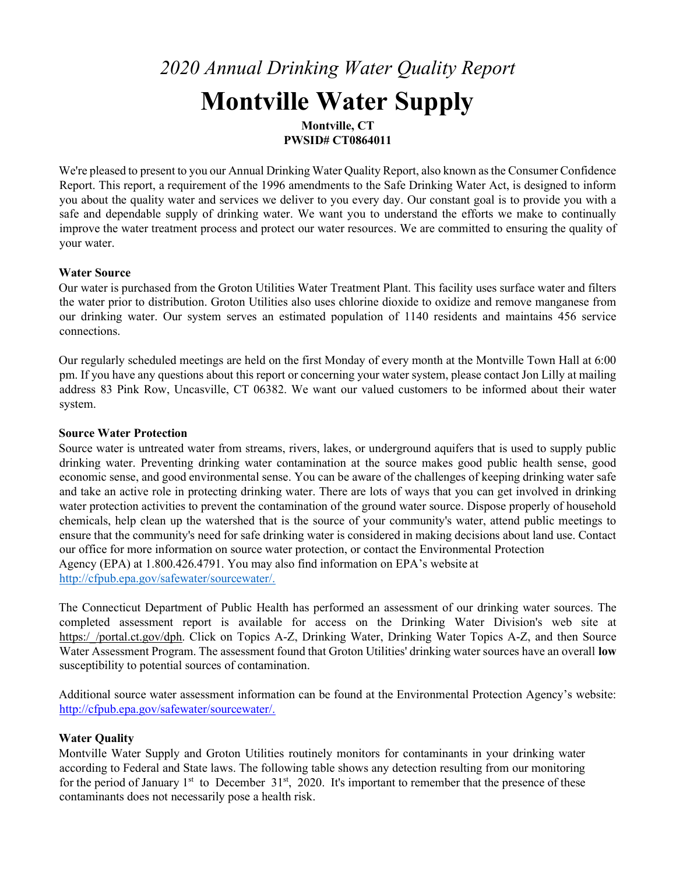# 2020 Annual Drinking Water Quality Report Montville Water Supply Montville, CT

PWSID# CT0864011

We're pleased to present to you our Annual Drinking Water Quality Report, also known as the Consumer Confidence Report. This report, a requirement of the 1996 amendments to the Safe Drinking Water Act, is designed to inform you about the quality water and services we deliver to you every day. Our constant goal is to provide you with a safe and dependable supply of drinking water. We want you to understand the efforts we make to continually improve the water treatment process and protect our water resources. We are committed to ensuring the quality of your water.

#### Water Source

Our water is purchased from the Groton Utilities Water Treatment Plant. This facility uses surface water and filters the water prior to distribution. Groton Utilities also uses chlorine dioxide to oxidize and remove manganese from our drinking water. Our system serves an estimated population of 1140 residents and maintains 456 service connections.

Our regularly scheduled meetings are held on the first Monday of every month at the Montville Town Hall at 6:00 pm. If you have any questions about this report or concerning your water system, please contact Jon Lilly at mailing address 83 Pink Row, Uncasville, CT 06382. We want our valued customers to be informed about their water system.

#### Source Water Protection

Source water is untreated water from streams, rivers, lakes, or underground aquifers that is used to supply public drinking water. Preventing drinking water contamination at the source makes good public health sense, good economic sense, and good environmental sense. You can be aware of the challenges of keeping drinking water safe and take an active role in protecting drinking water. There are lots of ways that you can get involved in drinking water protection activities to prevent the contamination of the ground water source. Dispose properly of household chemicals, help clean up the watershed that is the source of your community's water, attend public meetings to ensure that the community's need for safe drinking water is considered in making decisions about land use. Contact our office for more information on source water protection, or contact the Environmental Protection Agency (EPA) at 1.800.426.4791. You may also find information on EPA's website at http://cfpub.epa.gov/safewater/sourcewater/.

The Connecticut Department of Public Health has performed an assessment of our drinking water sources. The completed assessment report is available for access on the Drinking Water Division's web site at https://portal.ct.gov/dph. Click on Topics A-Z, Drinking Water, Drinking Water Topics A-Z, and then Source Water Assessment Program. The assessment found that Groton Utilities' drinking water sources have an overall low susceptibility to potential sources of contamination.

Additional source water assessment information can be found at the Environmental Protection Agency's website: http://cfpub.epa.gov/safewater/sourcewater/.

#### Water Quality

Montville Water Supply and Groton Utilities routinely monitors for contaminants in your drinking water according to Federal and State laws. The following table shows any detection resulting from our monitoring for the period of January  $1<sup>st</sup>$  to December 31<sup>st</sup>, 2020. It's important to remember that the presence of these contaminants does not necessarily pose a health risk.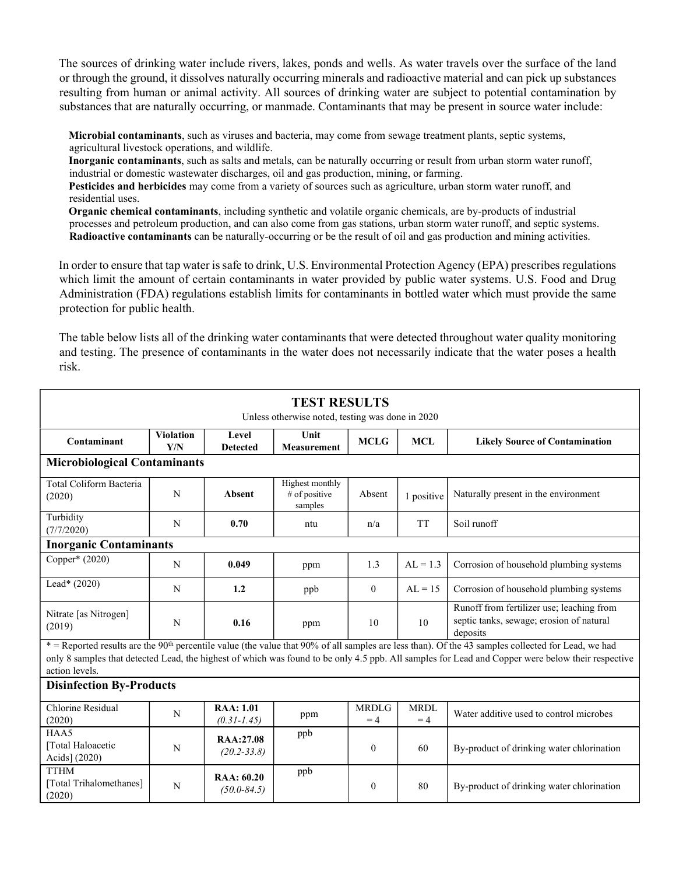The sources of drinking water include rivers, lakes, ponds and wells. As water travels over the surface of the land or through the ground, it dissolves naturally occurring minerals and radioactive material and can pick up substances resulting from human or animal activity. All sources of drinking water are subject to potential contamination by substances that are naturally occurring, or manmade. Contaminants that may be present in source water include:

Microbial contaminants, such as viruses and bacteria, may come from sewage treatment plants, septic systems, agricultural livestock operations, and wildlife.

Inorganic contaminants, such as salts and metals, can be naturally occurring or result from urban storm water runoff, industrial or domestic wastewater discharges, oil and gas production, mining, or farming.

Pesticides and herbicides may come from a variety of sources such as agriculture, urban storm water runoff, and residential uses.

Organic chemical contaminants, including synthetic and volatile organic chemicals, are by-products of industrial processes and petroleum production, and can also come from gas stations, urban storm water runoff, and septic systems. Radioactive contaminants can be naturally-occurring or be the result of oil and gas production and mining activities.

In order to ensure that tap water is safe to drink, U.S. Environmental Protection Agency (EPA) prescribes regulations which limit the amount of certain contaminants in water provided by public water systems. U.S. Food and Drug Administration (FDA) regulations establish limits for contaminants in bottled water which must provide the same protection for public health.

The table below lists all of the drinking water contaminants that were detected throughout water quality monitoring and testing. The presence of contaminants in the water does not necessarily indicate that the water poses a health risk.

| <b>TEST RESULTS</b><br>Unless otherwise noted, testing was done in 2020                                                                                                                                                                                                                                                               |                         |                                     |                                               |                      |                     |                                                                                                   |  |  |
|---------------------------------------------------------------------------------------------------------------------------------------------------------------------------------------------------------------------------------------------------------------------------------------------------------------------------------------|-------------------------|-------------------------------------|-----------------------------------------------|----------------------|---------------------|---------------------------------------------------------------------------------------------------|--|--|
| Contaminant                                                                                                                                                                                                                                                                                                                           | <b>Violation</b><br>Y/N |                                     | Unit<br><b>Measurement</b>                    | <b>MCLG</b>          | <b>MCL</b>          | <b>Likely Source of Contamination</b>                                                             |  |  |
| <b>Microbiological Contaminants</b>                                                                                                                                                                                                                                                                                                   |                         |                                     |                                               |                      |                     |                                                                                                   |  |  |
| Total Coliform Bacteria<br>(2020)                                                                                                                                                                                                                                                                                                     | N                       | <b>Absent</b>                       | Highest monthly<br>$#$ of positive<br>samples | Absent               | 1 positive          | Naturally present in the environment                                                              |  |  |
| Turbidity<br>(7/7/2020)                                                                                                                                                                                                                                                                                                               | N                       | 0.70                                | ntu                                           | n/a                  | <b>TT</b>           | Soil runoff                                                                                       |  |  |
| <b>Inorganic Contaminants</b>                                                                                                                                                                                                                                                                                                         |                         |                                     |                                               |                      |                     |                                                                                                   |  |  |
| Copper* $(2020)$                                                                                                                                                                                                                                                                                                                      | N                       | 0.049                               | ppm                                           | 1.3                  | $AL = 1.3$          | Corrosion of household plumbing systems                                                           |  |  |
| Lead* $(2020)$                                                                                                                                                                                                                                                                                                                        | N                       | 1.2                                 | ppb                                           | $\theta$             | $AL = 15$           | Corrosion of household plumbing systems                                                           |  |  |
| Nitrate [as Nitrogen]<br>(2019)                                                                                                                                                                                                                                                                                                       | N                       | 0.16                                | ppm                                           | 10                   | 10                  | Runoff from fertilizer use; leaching from<br>septic tanks, sewage; erosion of natural<br>deposits |  |  |
| * = Reported results are the 90 <sup>th</sup> percentile value (the value that 90% of all samples are less than). Of the 43 samples collected for Lead, we had<br>only 8 samples that detected Lead, the highest of which was found to be only 4.5 ppb. All samples for Lead and Copper were below their respective<br>action levels. |                         |                                     |                                               |                      |                     |                                                                                                   |  |  |
| <b>Disinfection By-Products</b>                                                                                                                                                                                                                                                                                                       |                         |                                     |                                               |                      |                     |                                                                                                   |  |  |
| Chlorine Residual<br>(2020)                                                                                                                                                                                                                                                                                                           | N                       | <b>RAA: 1.01</b><br>$(0.31 - 1.45)$ | ppm                                           | <b>MRDLG</b><br>$=4$ | <b>MRDL</b><br>$=4$ | Water additive used to control microbes                                                           |  |  |
| HAA5<br>[Total Haloacetic<br>Acids] (2020)                                                                                                                                                                                                                                                                                            | N                       | RAA:27.08<br>$(20.2 - 33.8)$        | ppb                                           | $\theta$             | 60                  | By-product of drinking water chlorination                                                         |  |  |
| <b>TTHM</b><br>[Total Trihalomethanes]<br>(2020)                                                                                                                                                                                                                                                                                      | N                       | RAA: 60.20<br>$(50.0 - 84.5)$       | ppb                                           | $\mathbf{0}$         | 80                  | By-product of drinking water chlorination                                                         |  |  |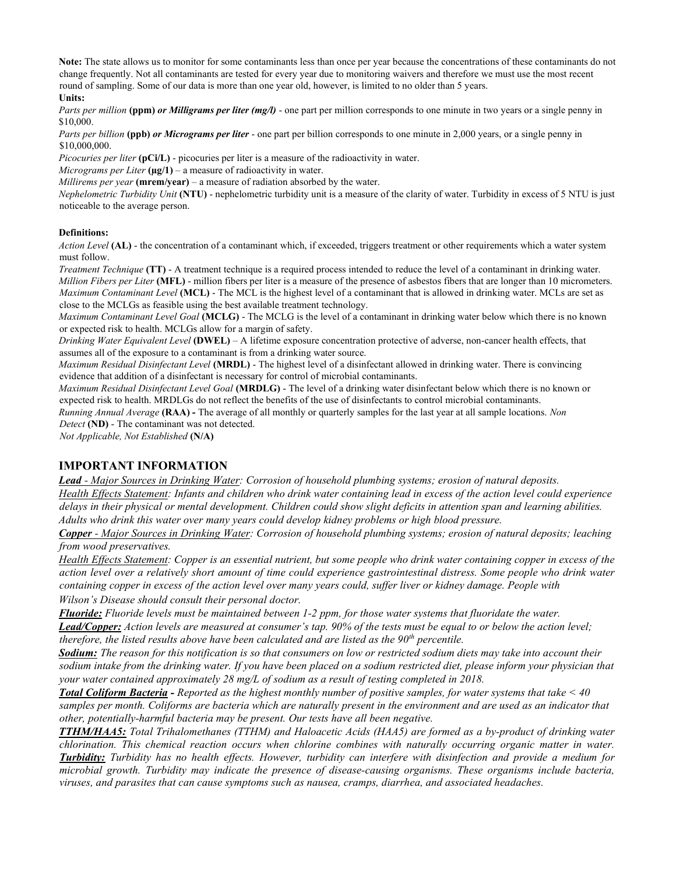Note: The state allows us to monitor for some contaminants less than once per year because the concentrations of these contaminants do not change frequently. Not all contaminants are tested for every year due to monitoring waivers and therefore we must use the most recent round of sampling. Some of our data is more than one year old, however, is limited to no older than 5 years.

#### Units:

Parts per million (ppm) or Milligrams per liter (mg/l) - one part per million corresponds to one minute in two years or a single penny in \$10,000.

Parts per billion (ppb) or Micrograms per liter - one part per billion corresponds to one minute in 2,000 years, or a single penny in \$10,000,000.

Picocuries per liter (pCi/L) - picocuries per liter is a measure of the radioactivity in water.

Micrograms per Liter  $(\mu g/1)$  – a measure of radioactivity in water.

Millirems per year  $(merm/year) - a$  measure of radiation absorbed by the water.

Nephelometric Turbidity Unit (NTU) - nephelometric turbidity unit is a measure of the clarity of water. Turbidity in excess of 5 NTU is just noticeable to the average person.

#### Definitions:

Action Level (AL) - the concentration of a contaminant which, if exceeded, triggers treatment or other requirements which a water system must follow.

Treatment Technique (TT) - A treatment technique is a required process intended to reduce the level of a contaminant in drinking water. Million Fibers per Liter (MFL) - million fibers per liter is a measure of the presence of asbestos fibers that are longer than 10 micrometers. Maximum Contaminant Level (MCL) - The MCL is the highest level of a contaminant that is allowed in drinking water. MCLs are set as close to the MCLGs as feasible using the best available treatment technology.

Maximum Contaminant Level Goal (MCLG) - The MCLG is the level of a contaminant in drinking water below which there is no known or expected risk to health. MCLGs allow for a margin of safety.

Drinking Water Equivalent Level (DWEL) – A lifetime exposure concentration protective of adverse, non-cancer health effects, that assumes all of the exposure to a contaminant is from a drinking water source.

Maximum Residual Disinfectant Level (MRDL) - The highest level of a disinfectant allowed in drinking water. There is convincing evidence that addition of a disinfectant is necessary for control of microbial contaminants.

Maximum Residual Disinfectant Level Goal (MRDLG) - The level of a drinking water disinfectant below which there is no known or expected risk to health. MRDLGs do not reflect the benefits of the use of disinfectants to control microbial contaminants.

Running Annual Average (RAA) - The average of all monthly or quarterly samples for the last year at all sample locations. Non Detect (ND) - The contaminant was not detected.

Not Applicable, Not Established (N/A)

#### IMPORTANT INFORMATION

Lead - Major Sources in Drinking Water: Corrosion of household plumbing systems; erosion of natural deposits. Health Effects Statement: Infants and children who drink water containing lead in excess of the action level could experience delays in their physical or mental development. Children could show slight deficits in attention span and learning abilities. Adults who drink this water over many years could develop kidney problems or high blood pressure.

Copper - Major Sources in Drinking Water: Corrosion of household plumbing systems; erosion of natural deposits; leaching from wood preservatives.

Health Effects Statement: Copper is an essential nutrient, but some people who drink water containing copper in excess of the action level over a relatively short amount of time could experience gastrointestinal distress. Some people who drink water containing copper in excess of the action level over many years could, suffer liver or kidney damage. People with Wilson's Disease should consult their personal doctor.

Fluoride: Fluoride levels must be maintained between 1-2 ppm, for those water systems that fluoridate the water. Lead/Copper: Action levels are measured at consumer's tap. 90% of the tests must be equal to or below the action level;

therefore, the listed results above have been calculated and are listed as the  $90<sup>th</sup>$  percentile.

Sodium: The reason for this notification is so that consumers on low or restricted sodium diets may take into account their sodium intake from the drinking water. If you have been placed on a sodium restricted diet, please inform your physician that your water contained approximately 28 mg/L of sodium as a result of testing completed in 2018.

**Total Coliform Bacteria -** Reported as the highest monthly number of positive samples, for water systems that take  $\leq 40$ samples per month. Coliforms are bacteria which are naturally present in the environment and are used as an indicator that other, potentially-harmful bacteria may be present. Our tests have all been negative.

TTHM/HAA5: Total Trihalomethanes (TTHM) and Haloacetic Acids (HAA5) are formed as a by-product of drinking water chlorination. This chemical reaction occurs when chlorine combines with naturally occurring organic matter in water. **Turbidity:** Turbidity has no health effects. However, turbidity can interfere with disinfection and provide a medium for microbial growth. Turbidity may indicate the presence of disease-causing organisms. These organisms include bacteria, viruses, and parasites that can cause symptoms such as nausea, cramps, diarrhea, and associated headaches.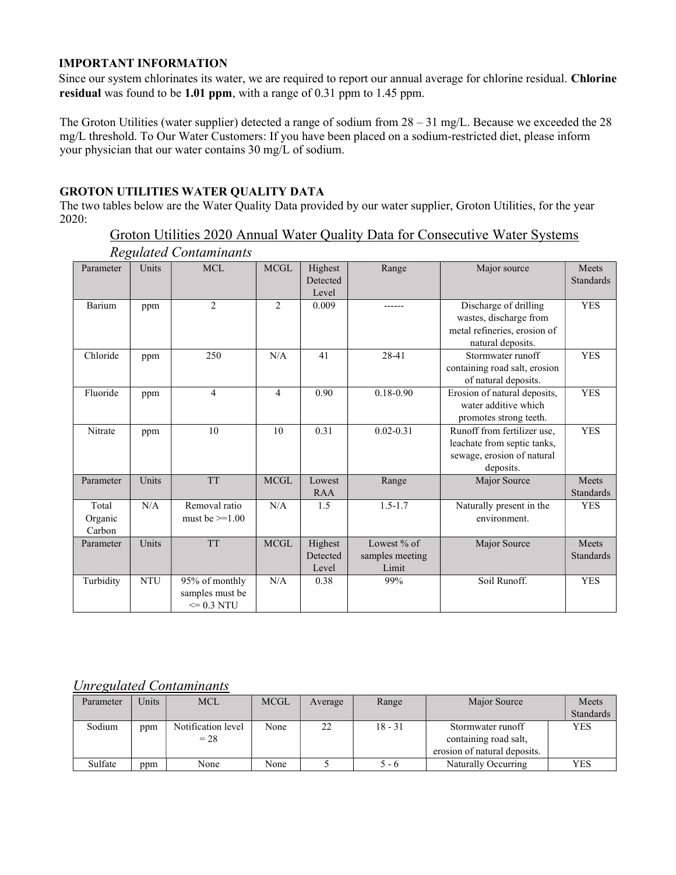## IMPORTANT INFORMATION

Since our system chlorinates its water, we are required to report our annual average for chlorine residual. Chlorine residual was found to be 1.01 ppm, with a range of 0.31 ppm to 1.45 ppm.

The Groton Utilities (water supplier) detected a range of sodium from 28 – 31 mg/L. Because we exceeded the 28 mg/L threshold. To Our Water Customers: If you have been placed on a sodium-restricted diet, please inform your physician that our water contains 30 mg/L of sodium.

## GROTON UTILITIES WATER QUALITY DATA

The two tables below are the Water Quality Data provided by our water supplier, Groton Utilities, for the year 2020:

### Groton Utilities 2020 Annual Water Quality Data for Consecutive Water Systems Regulated Contaminants

| ິ<br>Parameter             | Units      | <b>MCL</b>                                          | <b>MCGL</b>    | Highest<br>Detected<br>Level | Range                                     | Major source                                                                                          | Meets<br>Standards        |
|----------------------------|------------|-----------------------------------------------------|----------------|------------------------------|-------------------------------------------|-------------------------------------------------------------------------------------------------------|---------------------------|
| Barium                     | ppm        | $\overline{c}$                                      | $\overline{2}$ | 0.009                        |                                           | Discharge of drilling<br>wastes, discharge from<br>metal refineries, erosion of<br>natural deposits.  | <b>YES</b>                |
| Chloride                   | ppm        | 250                                                 | N/A            | 41                           | 28-41                                     | Stormwater runoff<br>containing road salt, erosion<br>of natural deposits.                            | <b>YES</b>                |
| Fluoride                   | ppm        | $\overline{4}$                                      | $\overline{4}$ | 0.90                         | $0.18 - 0.90$                             | Erosion of natural deposits,<br>water additive which<br>promotes strong teeth.                        | <b>YES</b>                |
| Nitrate                    | ppm        | 10                                                  | 10             | 0.31                         | $0.02 - 0.31$                             | Runoff from fertilizer use.<br>leachate from septic tanks,<br>sewage, erosion of natural<br>deposits. | <b>YES</b>                |
| Parameter                  | Units      | <b>TT</b>                                           | <b>MCGL</b>    | Lowest<br><b>RAA</b>         | Range                                     | Major Source                                                                                          | Meets<br><b>Standards</b> |
| Total<br>Organic<br>Carbon | N/A        | Removal ratio<br>must be $>=1.00$                   | N/A            | 1.5                          | $1.5 - 1.7$                               | Naturally present in the<br>environment.                                                              | <b>YES</b>                |
| Parameter                  | Units      | <b>TT</b>                                           | <b>MCGL</b>    | Highest<br>Detected<br>Level | Lowest $%$ of<br>samples meeting<br>Limit | Major Source                                                                                          | Meets<br>Standards        |
| Turbidity                  | <b>NTU</b> | 95% of monthly<br>samples must be<br>$\leq$ 0.3 NTU | N/A            | 0.38                         | 99%                                       | Soil Runoff.                                                                                          | <b>YES</b>                |

# Unregulated Contaminants

| Parameter | Units | <b>MCL</b>         | <b>MCGL</b> | Average | Range     | Major Source                 | Meets      |
|-----------|-------|--------------------|-------------|---------|-----------|------------------------------|------------|
|           |       |                    |             |         |           |                              | Standards  |
| Sodium    | ppm   | Notification level | None        | າາ      | $18 - 31$ | Stormwater runoff            | <b>YES</b> |
|           |       | $= 28$             |             |         |           | containing road salt,        |            |
|           |       |                    |             |         |           | erosion of natural deposits. |            |
| Sulfate   | ppm   | None               | None        |         | 5 - 6     | Naturally Occurring          | YES        |